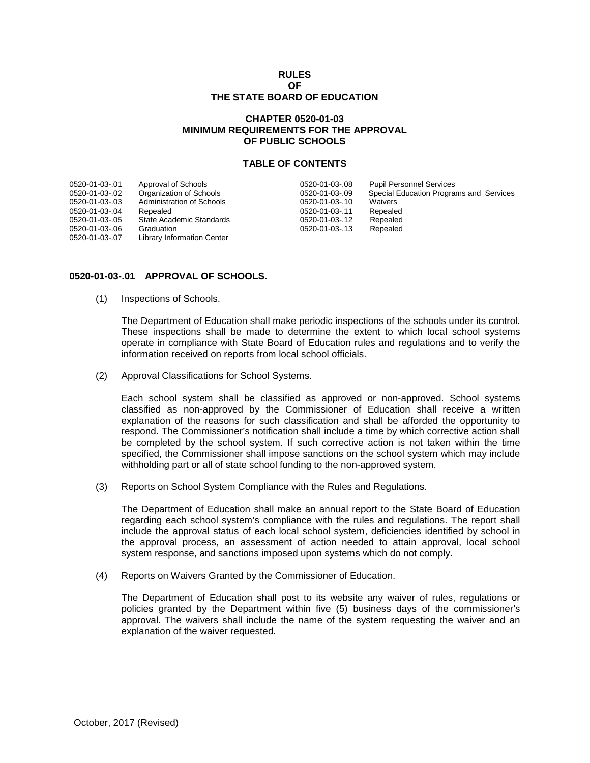### **RULES OF THE STATE BOARD OF EDUCATION**

# **CHAPTER 0520-01-03 MINIMUM REQUIREMENTS FOR THE APPROVAL OF PUBLIC SCHOOLS**

### **TABLE OF CONTENTS**

| 0520-01-03-.01 | Approval of Schools               | 0520-01-03-.08 | <b>Pupil Personnel Services</b>         |
|----------------|-----------------------------------|----------------|-----------------------------------------|
| 0520-01-03-.02 | Organization of Schools           | 0520-01-03-.09 | Special Education Programs and Services |
| 0520-01-03-.03 | Administration of Schools         | 0520-01-03-.10 | Waivers                                 |
| 0520-01-03-.04 | Repealed                          | 0520-01-03-.11 | Repealed                                |
| 0520-01-03-.05 | State Academic Standards          | 0520-01-03-.12 | Repealed                                |
| 0520-01-03-.06 | Graduation                        | 0520-01-03-.13 | Repealed                                |
| 0520-01-03-.07 | <b>Library Information Center</b> |                |                                         |
|                |                                   |                |                                         |

## **0520-01-03-.01 APPROVAL OF SCHOOLS.**

(1) Inspections of Schools.

The Department of Education shall make periodic inspections of the schools under its control. These inspections shall be made to determine the extent to which local school systems operate in compliance with State Board of Education rules and regulations and to verify the information received on reports from local school officials.

(2) Approval Classifications for School Systems.

Each school system shall be classified as approved or non-approved. School systems classified as non-approved by the Commissioner of Education shall receive a written explanation of the reasons for such classification and shall be afforded the opportunity to respond. The Commissioner's notification shall include a time by which corrective action shall be completed by the school system. If such corrective action is not taken within the time specified, the Commissioner shall impose sanctions on the school system which may include withholding part or all of state school funding to the non-approved system.

(3) Reports on School System Compliance with the Rules and Regulations.

The Department of Education shall make an annual report to the State Board of Education regarding each school system's compliance with the rules and regulations. The report shall include the approval status of each local school system, deficiencies identified by school in the approval process, an assessment of action needed to attain approval, local school system response, and sanctions imposed upon systems which do not comply.

(4) Reports on Waivers Granted by the Commissioner of Education.

The Department of Education shall post to its website any waiver of rules, regulations or policies granted by the Department within five (5) business days of the commissioner's approval. The waivers shall include the name of the system requesting the waiver and an explanation of the waiver requested.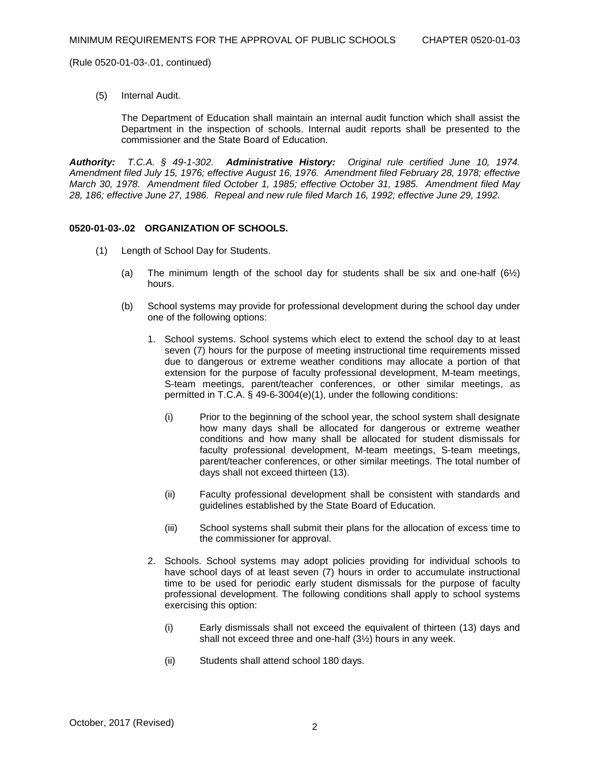(5) Internal Audit.

The Department of Education shall maintain an internal audit function which shall assist the Department in the inspection of schools. Internal audit reports shall be presented to the commissioner and the State Board of Education.

*Authority: T.C.A. § 49-1-302. Administrative History: Original rule certified June 10, 1974. Amendment filed July 15, 1976; effective August 16, 1976. Amendment filed February 28, 1978; effective March 30, 1978. Amendment filed October 1, 1985; effective October 31, 1985. Amendment filed May 28, 186; effective June 27, 1986. Repeal and new rule filed March 16, 1992; effective June 29, 1992.*

## **0520-01-03-.02 ORGANIZATION OF SCHOOLS.**

- (1) Length of School Day for Students.
	- (a) The minimum length of the school day for students shall be six and one-half  $(6/2)$ hours.
	- (b) School systems may provide for professional development during the school day under one of the following options:
		- 1. School systems. School systems which elect to extend the school day to at least seven (7) hours for the purpose of meeting instructional time requirements missed due to dangerous or extreme weather conditions may allocate a portion of that extension for the purpose of faculty professional development, M-team meetings, S-team meetings, parent/teacher conferences, or other similar meetings, as permitted in T.C.A. § 49-6-3004(e)(1), under the following conditions:
			- (i) Prior to the beginning of the school year, the school system shall designate how many days shall be allocated for dangerous or extreme weather conditions and how many shall be allocated for student dismissals for faculty professional development, M-team meetings, S-team meetings, parent/teacher conferences, or other similar meetings. The total number of days shall not exceed thirteen (13).
			- (ii) Faculty professional development shall be consistent with standards and guidelines established by the State Board of Education.
			- (iii) School systems shall submit their plans for the allocation of excess time to the commissioner for approval.
		- 2. Schools. School systems may adopt policies providing for individual schools to have school days of at least seven (7) hours in order to accumulate instructional time to be used for periodic early student dismissals for the purpose of faculty professional development. The following conditions shall apply to school systems exercising this option:
			- (i) Early dismissals shall not exceed the equivalent of thirteen (13) days and shall not exceed three and one-half (3½) hours in any week.
			- (ii) Students shall attend school 180 days.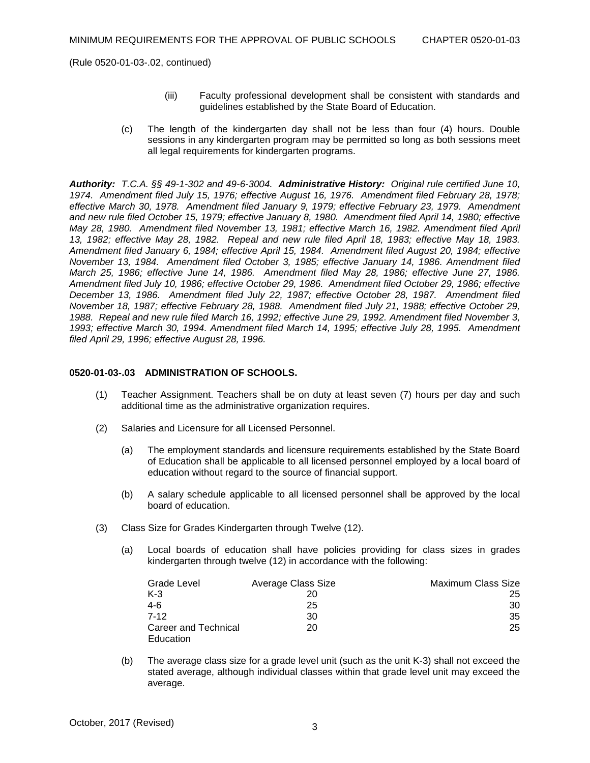- (iii) Faculty professional development shall be consistent with standards and guidelines established by the State Board of Education.
- (c) The length of the kindergarten day shall not be less than four (4) hours. Double sessions in any kindergarten program may be permitted so long as both sessions meet all legal requirements for kindergarten programs.

*Authority: T.C.A. §§ 49-1-302 and 49-6-3004. Administrative History: Original rule certified June 10, 1974. Amendment filed July 15, 1976; effective August 16, 1976. Amendment filed February 28, 1978; effective March 30, 1978. Amendment filed January 9, 1979; effective February 23, 1979. Amendment and new rule filed October 15, 1979; effective January 8, 1980. Amendment filed April 14, 1980; effective May 28, 1980. Amendment filed November 13, 1981; effective March 16, 1982. Amendment filed April 13, 1982; effective May 28, 1982. Repeal and new rule filed April 18, 1983; effective May 18, 1983. Amendment filed January 6, 1984; effective April 15, 1984. Amendment filed August 20, 1984; effective November 13, 1984. Amendment filed October 3, 1985; effective January 14, 1986. Amendment filed March 25, 1986; effective June 14, 1986. Amendment filed May 28, 1986; effective June 27, 1986. Amendment filed July 10, 1986; effective October 29, 1986. Amendment filed October 29, 1986; effective December 13, 1986. Amendment filed July 22, 1987; effective October 28, 1987. Amendment filed November 18, 1987; effective February 28, 1988. Amendment filed July 21, 1988; effective October 29, 1988. Repeal and new rule filed March 16, 1992; effective June 29, 1992. Amendment filed November 3, 1993; effective March 30, 1994. Amendment filed March 14, 1995; effective July 28, 1995. Amendment filed April 29, 1996; effective August 28, 1996.*

## **0520-01-03-.03 ADMINISTRATION OF SCHOOLS.**

- (1) Teacher Assignment. Teachers shall be on duty at least seven (7) hours per day and such additional time as the administrative organization requires.
- (2) Salaries and Licensure for all Licensed Personnel.
	- (a) The employment standards and licensure requirements established by the State Board of Education shall be applicable to all licensed personnel employed by a local board of education without regard to the source of financial support.
	- (b) A salary schedule applicable to all licensed personnel shall be approved by the local board of education.
- (3) Class Size for Grades Kindergarten through Twelve (12).
	- (a) Local boards of education shall have policies providing for class sizes in grades kindergarten through twelve (12) in accordance with the following:

| Grade Level                       | Average Class Size | Maximum Class Size |
|-----------------------------------|--------------------|--------------------|
| $K-3$                             |                    | 25                 |
| 4-6                               | 25                 | 30                 |
| $7-12$                            | 30                 | 35                 |
| Career and Technical<br>Education | 20                 | 25                 |

(b) The average class size for a grade level unit (such as the unit K-3) shall not exceed the stated average, although individual classes within that grade level unit may exceed the average.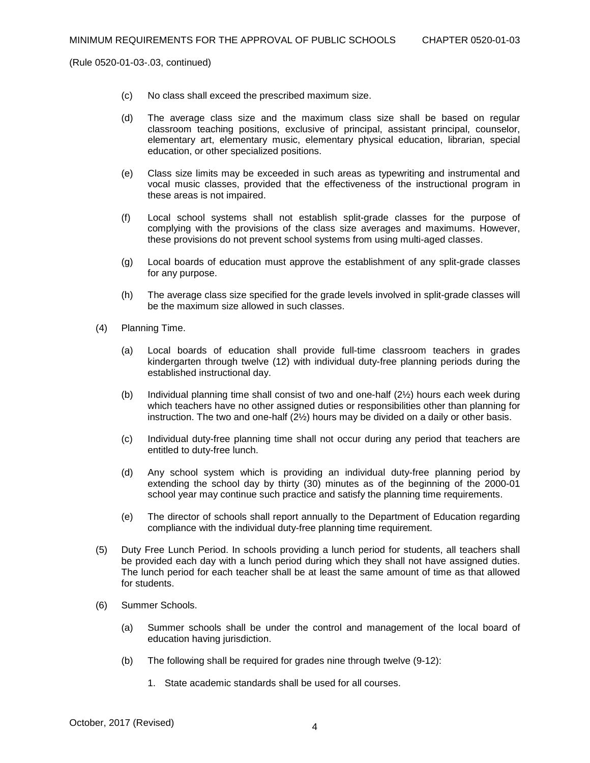- (c) No class shall exceed the prescribed maximum size.
- (d) The average class size and the maximum class size shall be based on regular classroom teaching positions, exclusive of principal, assistant principal, counselor, elementary art, elementary music, elementary physical education, librarian, special education, or other specialized positions.
- (e) Class size limits may be exceeded in such areas as typewriting and instrumental and vocal music classes, provided that the effectiveness of the instructional program in these areas is not impaired.
- (f) Local school systems shall not establish split-grade classes for the purpose of complying with the provisions of the class size averages and maximums. However, these provisions do not prevent school systems from using multi-aged classes.
- (g) Local boards of education must approve the establishment of any split-grade classes for any purpose.
- (h) The average class size specified for the grade levels involved in split-grade classes will be the maximum size allowed in such classes.
- (4) Planning Time.
	- (a) Local boards of education shall provide full-time classroom teachers in grades kindergarten through twelve (12) with individual duty-free planning periods during the established instructional day.
	- (b) Individual planning time shall consist of two and one-half  $(2\frac{1}{2})$  hours each week during which teachers have no other assigned duties or responsibilities other than planning for instruction. The two and one-half (2½) hours may be divided on a daily or other basis.
	- (c) Individual duty-free planning time shall not occur during any period that teachers are entitled to duty-free lunch.
	- (d) Any school system which is providing an individual duty-free planning period by extending the school day by thirty (30) minutes as of the beginning of the 2000-01 school year may continue such practice and satisfy the planning time requirements.
	- (e) The director of schools shall report annually to the Department of Education regarding compliance with the individual duty-free planning time requirement.
- (5) Duty Free Lunch Period. In schools providing a lunch period for students, all teachers shall be provided each day with a lunch period during which they shall not have assigned duties. The lunch period for each teacher shall be at least the same amount of time as that allowed for students.
- (6) Summer Schools.
	- (a) Summer schools shall be under the control and management of the local board of education having jurisdiction.
	- (b) The following shall be required for grades nine through twelve (9-12):
		- 1. State academic standards shall be used for all courses.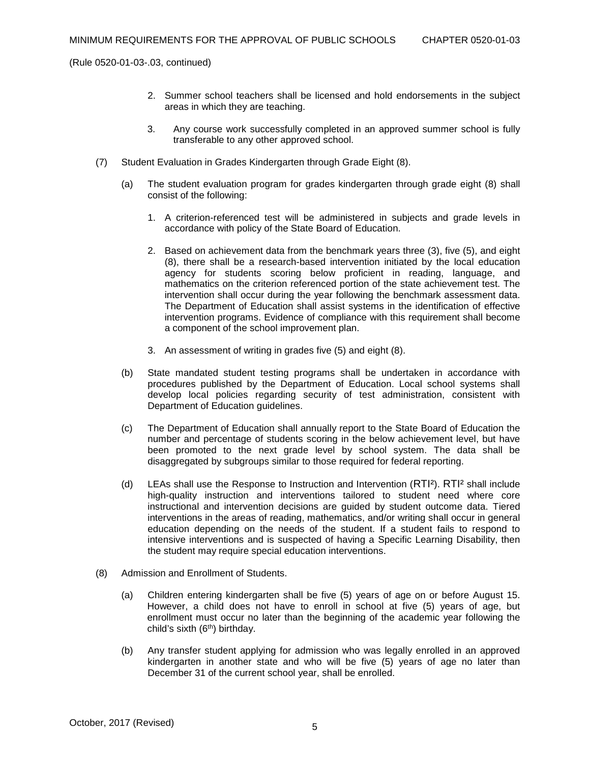- 2. Summer school teachers shall be licensed and hold endorsements in the subject areas in which they are teaching.
- 3. Any course work successfully completed in an approved summer school is fully transferable to any other approved school.
- (7) Student Evaluation in Grades Kindergarten through Grade Eight (8).
	- (a) The student evaluation program for grades kindergarten through grade eight (8) shall consist of the following:
		- 1. A criterion-referenced test will be administered in subjects and grade levels in accordance with policy of the State Board of Education.
		- 2. Based on achievement data from the benchmark years three (3), five (5), and eight (8), there shall be a research-based intervention initiated by the local education agency for students scoring below proficient in reading, language, and mathematics on the criterion referenced portion of the state achievement test. The intervention shall occur during the year following the benchmark assessment data. The Department of Education shall assist systems in the identification of effective intervention programs. Evidence of compliance with this requirement shall become a component of the school improvement plan.
		- 3. An assessment of writing in grades five (5) and eight (8).
	- (b) State mandated student testing programs shall be undertaken in accordance with procedures published by the Department of Education. Local school systems shall develop local policies regarding security of test administration, consistent with Department of Education guidelines.
	- (c) The Department of Education shall annually report to the State Board of Education the number and percentage of students scoring in the below achievement level, but have been promoted to the next grade level by school system. The data shall be disaggregated by subgroups similar to those required for federal reporting.
	- (d) LEAs shall use the Response to Instruction and Intervention (RTI²). RTI² shall include high-quality instruction and interventions tailored to student need where core instructional and intervention decisions are guided by student outcome data. Tiered interventions in the areas of reading, mathematics, and/or writing shall occur in general education depending on the needs of the student. If a student fails to respond to intensive interventions and is suspected of having a Specific Learning Disability, then the student may require special education interventions.
- (8) Admission and Enrollment of Students.
	- (a) Children entering kindergarten shall be five (5) years of age on or before August 15. However, a child does not have to enroll in school at five (5) years of age, but enrollment must occur no later than the beginning of the academic year following the child's sixth  $(6<sup>th</sup>)$  birthday.
	- (b) Any transfer student applying for admission who was legally enrolled in an approved kindergarten in another state and who will be five (5) years of age no later than December 31 of the current school year, shall be enrolled.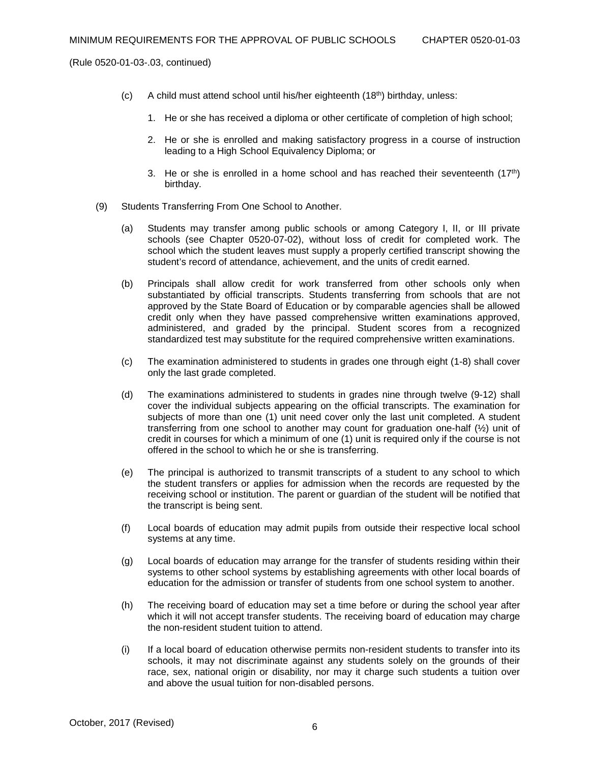- (c) A child must attend school until his/her eighteenth (18th) birthday, unless:
	- 1. He or she has received a diploma or other certificate of completion of high school;
	- 2. He or she is enrolled and making satisfactory progress in a course of instruction leading to a High School Equivalency Diploma; or
	- 3. He or she is enrolled in a home school and has reached their seventeenth  $(17<sup>th</sup>)$ birthday.
- (9) Students Transferring From One School to Another.
	- (a) Students may transfer among public schools or among Category I, II, or III private schools (see Chapter 0520-07-02), without loss of credit for completed work. The school which the student leaves must supply a properly certified transcript showing the student's record of attendance, achievement, and the units of credit earned.
	- (b) Principals shall allow credit for work transferred from other schools only when substantiated by official transcripts. Students transferring from schools that are not approved by the State Board of Education or by comparable agencies shall be allowed credit only when they have passed comprehensive written examinations approved, administered, and graded by the principal. Student scores from a recognized standardized test may substitute for the required comprehensive written examinations.
	- (c) The examination administered to students in grades one through eight (1-8) shall cover only the last grade completed.
	- (d) The examinations administered to students in grades nine through twelve (9-12) shall cover the individual subjects appearing on the official transcripts. The examination for subjects of more than one (1) unit need cover only the last unit completed. A student transferring from one school to another may count for graduation one-half  $(\frac{1}{2})$  unit of credit in courses for which a minimum of one (1) unit is required only if the course is not offered in the school to which he or she is transferring.
	- (e) The principal is authorized to transmit transcripts of a student to any school to which the student transfers or applies for admission when the records are requested by the receiving school or institution. The parent or guardian of the student will be notified that the transcript is being sent.
	- (f) Local boards of education may admit pupils from outside their respective local school systems at any time.
	- (g) Local boards of education may arrange for the transfer of students residing within their systems to other school systems by establishing agreements with other local boards of education for the admission or transfer of students from one school system to another.
	- (h) The receiving board of education may set a time before or during the school year after which it will not accept transfer students. The receiving board of education may charge the non-resident student tuition to attend.
	- (i) If a local board of education otherwise permits non-resident students to transfer into its schools, it may not discriminate against any students solely on the grounds of their race, sex, national origin or disability, nor may it charge such students a tuition over and above the usual tuition for non-disabled persons.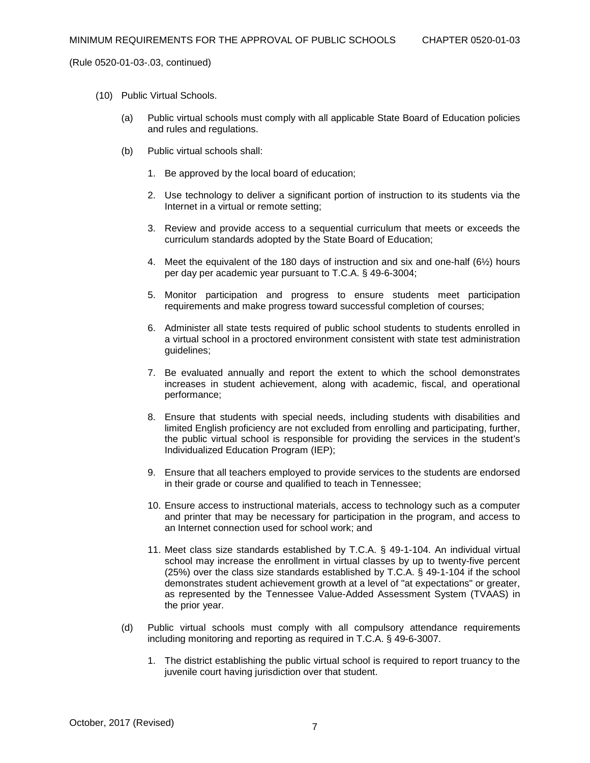- (10) Public Virtual Schools.
	- (a) Public virtual schools must comply with all applicable State Board of Education policies and rules and regulations.
	- (b) Public virtual schools shall:
		- 1. Be approved by the local board of education;
		- 2. Use technology to deliver a significant portion of instruction to its students via the Internet in a virtual or remote setting;
		- 3. Review and provide access to a sequential curriculum that meets or exceeds the curriculum standards adopted by the State Board of Education;
		- 4. Meet the equivalent of the 180 days of instruction and six and one-half (6½) hours per day per academic year pursuant to T.C.A. § 49-6-3004;
		- 5. Monitor participation and progress to ensure students meet participation requirements and make progress toward successful completion of courses;
		- 6. Administer all state tests required of public school students to students enrolled in a virtual school in a proctored environment consistent with state test administration guidelines;
		- 7. Be evaluated annually and report the extent to which the school demonstrates increases in student achievement, along with academic, fiscal, and operational performance;
		- 8. Ensure that students with special needs, including students with disabilities and limited English proficiency are not excluded from enrolling and participating, further, the public virtual school is responsible for providing the services in the student's Individualized Education Program (IEP);
		- 9. Ensure that all teachers employed to provide services to the students are endorsed in their grade or course and qualified to teach in Tennessee;
		- 10. Ensure access to instructional materials, access to technology such as a computer and printer that may be necessary for participation in the program, and access to an Internet connection used for school work; and
		- 11. Meet class size standards established by T.C.A. § 49-1-104. An individual virtual school may increase the enrollment in virtual classes by up to twenty-five percent (25%) over the class size standards established by T.C.A. § 49-1-104 if the school demonstrates student achievement growth at a level of "at expectations" or greater, as represented by the Tennessee Value-Added Assessment System (TVAAS) in the prior year.
	- (d) Public virtual schools must comply with all compulsory attendance requirements including monitoring and reporting as required in T.C.A. § 49-6-3007.
		- 1. The district establishing the public virtual school is required to report truancy to the juvenile court having jurisdiction over that student.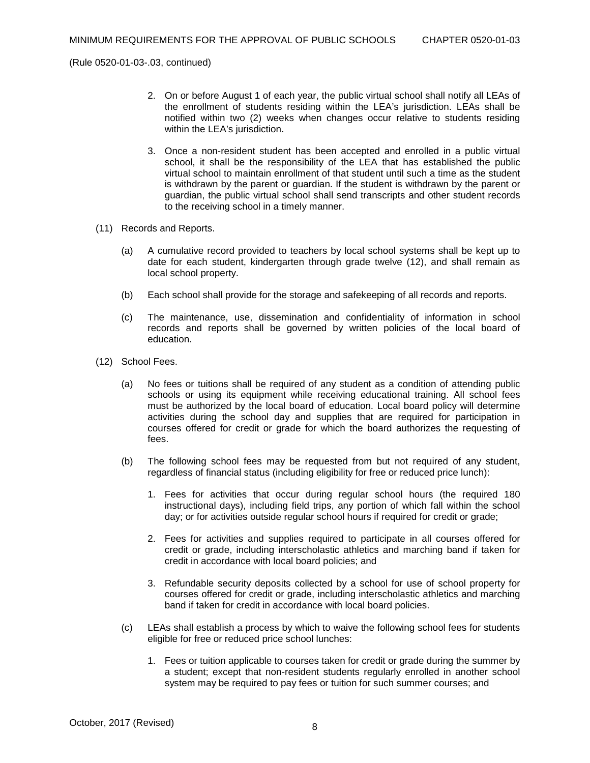- 2. On or before August 1 of each year, the public virtual school shall notify all LEAs of the enrollment of students residing within the LEA's jurisdiction. LEAs shall be notified within two (2) weeks when changes occur relative to students residing within the LEA's jurisdiction.
- 3. Once a non-resident student has been accepted and enrolled in a public virtual school, it shall be the responsibility of the LEA that has established the public virtual school to maintain enrollment of that student until such a time as the student is withdrawn by the parent or guardian. If the student is withdrawn by the parent or guardian, the public virtual school shall send transcripts and other student records to the receiving school in a timely manner.
- (11) Records and Reports.
	- (a) A cumulative record provided to teachers by local school systems shall be kept up to date for each student, kindergarten through grade twelve (12), and shall remain as local school property.
	- (b) Each school shall provide for the storage and safekeeping of all records and reports.
	- (c) The maintenance, use, dissemination and confidentiality of information in school records and reports shall be governed by written policies of the local board of education.
- (12) School Fees.
	- (a) No fees or tuitions shall be required of any student as a condition of attending public schools or using its equipment while receiving educational training. All school fees must be authorized by the local board of education. Local board policy will determine activities during the school day and supplies that are required for participation in courses offered for credit or grade for which the board authorizes the requesting of fees.
	- (b) The following school fees may be requested from but not required of any student, regardless of financial status (including eligibility for free or reduced price lunch):
		- 1. Fees for activities that occur during regular school hours (the required 180 instructional days), including field trips, any portion of which fall within the school day; or for activities outside regular school hours if required for credit or grade;
		- 2. Fees for activities and supplies required to participate in all courses offered for credit or grade, including interscholastic athletics and marching band if taken for credit in accordance with local board policies; and
		- 3. Refundable security deposits collected by a school for use of school property for courses offered for credit or grade, including interscholastic athletics and marching band if taken for credit in accordance with local board policies.
	- (c) LEAs shall establish a process by which to waive the following school fees for students eligible for free or reduced price school lunches:
		- 1. Fees or tuition applicable to courses taken for credit or grade during the summer by a student; except that non-resident students regularly enrolled in another school system may be required to pay fees or tuition for such summer courses; and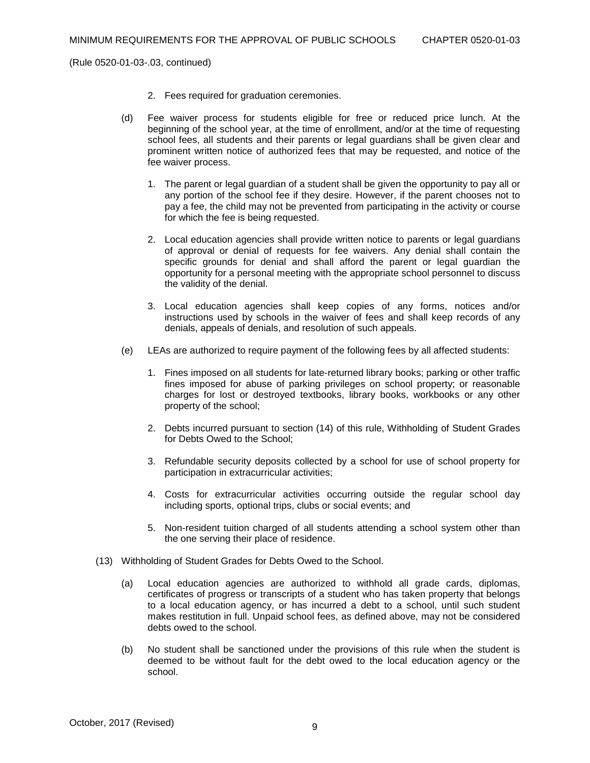- 2. Fees required for graduation ceremonies.
- (d) Fee waiver process for students eligible for free or reduced price lunch. At the beginning of the school year, at the time of enrollment, and/or at the time of requesting school fees, all students and their parents or legal guardians shall be given clear and prominent written notice of authorized fees that may be requested, and notice of the fee waiver process.
	- 1. The parent or legal guardian of a student shall be given the opportunity to pay all or any portion of the school fee if they desire. However, if the parent chooses not to pay a fee, the child may not be prevented from participating in the activity or course for which the fee is being requested.
	- 2. Local education agencies shall provide written notice to parents or legal guardians of approval or denial of requests for fee waivers. Any denial shall contain the specific grounds for denial and shall afford the parent or legal guardian the opportunity for a personal meeting with the appropriate school personnel to discuss the validity of the denial.
	- 3. Local education agencies shall keep copies of any forms, notices and/or instructions used by schools in the waiver of fees and shall keep records of any denials, appeals of denials, and resolution of such appeals.
- (e) LEAs are authorized to require payment of the following fees by all affected students:
	- 1. Fines imposed on all students for late-returned library books; parking or other traffic fines imposed for abuse of parking privileges on school property; or reasonable charges for lost or destroyed textbooks, library books, workbooks or any other property of the school;
	- 2. Debts incurred pursuant to section (14) of this rule, Withholding of Student Grades for Debts Owed to the School;
	- 3. Refundable security deposits collected by a school for use of school property for participation in extracurricular activities;
	- 4. Costs for extracurricular activities occurring outside the regular school day including sports, optional trips, clubs or social events; and
	- 5. Non-resident tuition charged of all students attending a school system other than the one serving their place of residence.
- (13) Withholding of Student Grades for Debts Owed to the School.
	- (a) Local education agencies are authorized to withhold all grade cards, diplomas, certificates of progress or transcripts of a student who has taken property that belongs to a local education agency, or has incurred a debt to a school, until such student makes restitution in full. Unpaid school fees, as defined above, may not be considered debts owed to the school.
	- (b) No student shall be sanctioned under the provisions of this rule when the student is deemed to be without fault for the debt owed to the local education agency or the school.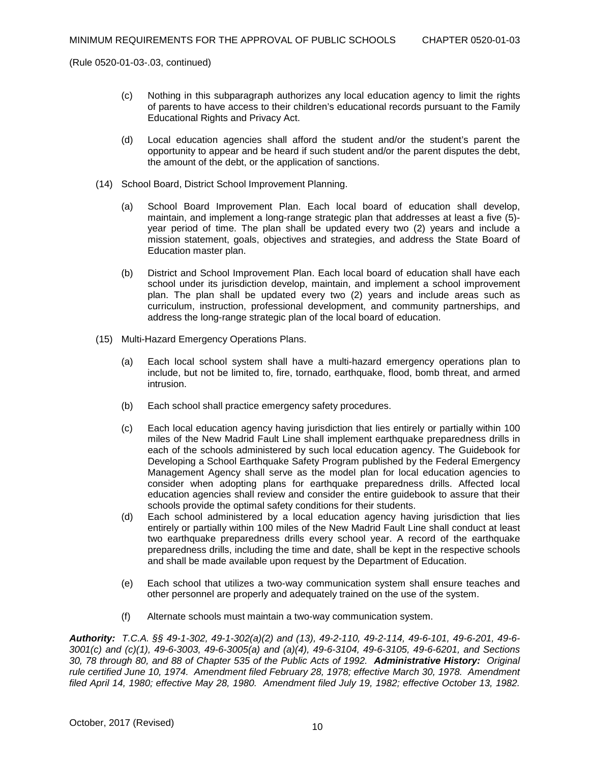- (c) Nothing in this subparagraph authorizes any local education agency to limit the rights of parents to have access to their children's educational records pursuant to the Family Educational Rights and Privacy Act.
- (d) Local education agencies shall afford the student and/or the student's parent the opportunity to appear and be heard if such student and/or the parent disputes the debt, the amount of the debt, or the application of sanctions.
- (14) School Board, District School Improvement Planning.
	- (a) School Board Improvement Plan. Each local board of education shall develop, maintain, and implement a long-range strategic plan that addresses at least a five (5) year period of time. The plan shall be updated every two (2) years and include a mission statement, goals, objectives and strategies, and address the State Board of Education master plan.
	- (b) District and School Improvement Plan. Each local board of education shall have each school under its jurisdiction develop, maintain, and implement a school improvement plan. The plan shall be updated every two (2) years and include areas such as curriculum, instruction, professional development, and community partnerships, and address the long-range strategic plan of the local board of education.
- (15) Multi-Hazard Emergency Operations Plans.
	- (a) Each local school system shall have a multi-hazard emergency operations plan to include, but not be limited to, fire, tornado, earthquake, flood, bomb threat, and armed intrusion.
	- (b) Each school shall practice emergency safety procedures.
	- (c) Each local education agency having jurisdiction that lies entirely or partially within 100 miles of the New Madrid Fault Line shall implement earthquake preparedness drills in each of the schools administered by such local education agency. The Guidebook for Developing a School Earthquake Safety Program published by the Federal Emergency Management Agency shall serve as the model plan for local education agencies to consider when adopting plans for earthquake preparedness drills. Affected local education agencies shall review and consider the entire guidebook to assure that their schools provide the optimal safety conditions for their students.
	- (d) Each school administered by a local education agency having jurisdiction that lies entirely or partially within 100 miles of the New Madrid Fault Line shall conduct at least two earthquake preparedness drills every school year. A record of the earthquake preparedness drills, including the time and date, shall be kept in the respective schools and shall be made available upon request by the Department of Education.
	- (e) Each school that utilizes a two-way communication system shall ensure teaches and other personnel are properly and adequately trained on the use of the system.
	- (f) Alternate schools must maintain a two-way communication system.

*Authority: T.C.A. §§ 49-1-302, 49-1-302(a)(2) and (13), 49-2-110, 49-2-114, 49-6-101, 49-6-201, 49-6- 3001(c) and (c)(1), 49-6-3003, 49-6-3005(a) and (a)(4), 49-6-3104, 49-6-3105, 49-6-6201, and Sections 30, 78 through 80, and 88 of Chapter 535 of the Public Acts of 1992. Administrative History: Original rule certified June 10, 1974. Amendment filed February 28, 1978; effective March 30, 1978. Amendment filed April 14, 1980; effective May 28, 1980. Amendment filed July 19, 1982; effective October 13, 1982.*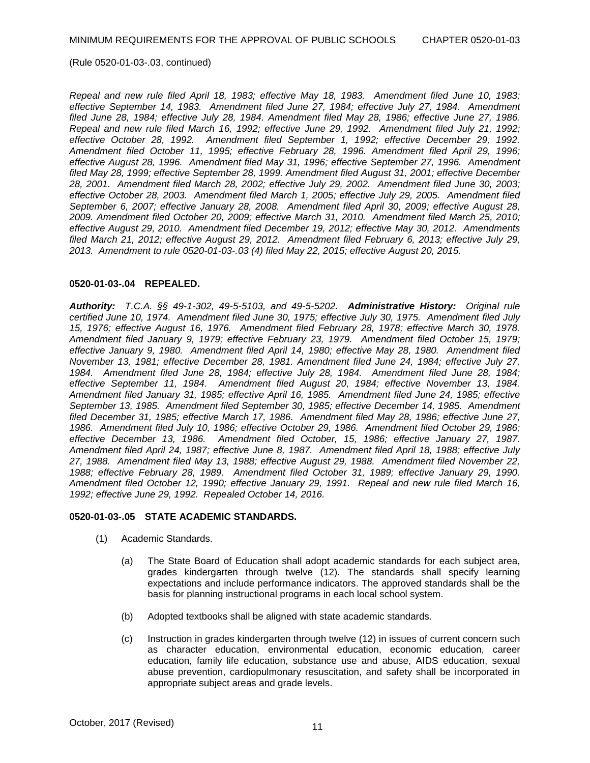*Repeal and new rule filed April 18, 1983; effective May 18, 1983. Amendment filed June 10, 1983; effective September 14, 1983. Amendment filed June 27, 1984; effective July 27, 1984. Amendment filed June 28, 1984; effective July 28, 1984. Amendment filed May 28, 1986; effective June 27, 1986. Repeal and new rule filed March 16, 1992; effective June 29, 1992. Amendment filed July 21, 1992; effective October 28, 1992. Amendment filed September 1, 1992; effective December 29, 1992. Amendment filed October 11, 1995; effective February 28, 1996. Amendment filed April 29, 1996; effective August 28, 1996. Amendment filed May 31, 1996; effective September 27, 1996. Amendment filed May 28, 1999; effective September 28, 1999. Amendment filed August 31, 2001; effective December 28, 2001. Amendment filed March 28, 2002; effective July 29, 2002. Amendment filed June 30, 2003; effective October 28, 2003. Amendment filed March 1, 2005; effective July 29, 2005. Amendment filed September 6, 2007; effective January 28, 2008. Amendment filed April 30, 2009; effective August 28, 2009. Amendment filed October 20, 2009; effective March 31, 2010. Amendment filed March 25, 2010; effective August 29, 2010. Amendment filed December 19, 2012; effective May 30, 2012. Amendments filed March 21, 2012; effective August 29, 2012. Amendment filed February 6, 2013; effective July 29, 2013. Amendment to rule 0520-01-03-.03 (4) filed May 22, 2015; effective August 20, 2015.*

### **0520-01-03-.04 REPEALED.**

*Authority: T.C.A. §§ 49-1-302, 49-5-5103, and 49-5-5202. Administrative History: Original rule certified June 10, 1974. Amendment filed June 30, 1975; effective July 30, 1975. Amendment filed July 15, 1976; effective August 16, 1976. Amendment filed February 28, 1978; effective March 30, 1978. Amendment filed January 9, 1979; effective February 23, 1979. Amendment filed October 15, 1979; effective January 9, 1980. Amendment filed April 14, 1980; effective May 28, 1980. Amendment filed November 13, 1981; effective December 28, 1981. Amendment filed June 24, 1984; effective July 27, 1984. Amendment filed June 28, 1984; effective July 28, 1984. Amendment filed June 28, 1984; effective September 11, 1984. Amendment filed August 20, 1984; effective November 13, 1984. Amendment filed January 31, 1985; effective April 16, 1985. Amendment filed June 24, 1985; effective September 13, 1985. Amendment filed September 30, 1985; effective December 14, 1985. Amendment filed December 31, 1985; effective March 17, 1986. Amendment filed May 28, 1986; effective June 27, 1986. Amendment filed July 10, 1986; effective October 29, 1986. Amendment filed October 29, 1986; effective December 13, 1986. Amendment filed October, 15, 1986; effective January 27, 1987. Amendment filed April 24, 1987; effective June 8, 1987. Amendment filed April 18, 1988; effective July 27, 1988. Amendment filed May 13, 1988; effective August 29, 1988. Amendment filed November 22, 1988; effective February 28, 1989. Amendment filed October 31, 1989; effective January 29, 1990. Amendment filed October 12, 1990; effective January 29, 1991. Repeal and new rule filed March 16, 1992; effective June 29, 1992. Repealed October 14, 2016.* 

#### **0520-01-03-.05 STATE ACADEMIC STANDARDS.**

- (1) Academic Standards.
	- (a) The State Board of Education shall adopt academic standards for each subject area, grades kindergarten through twelve (12). The standards shall specify learning expectations and include performance indicators. The approved standards shall be the basis for planning instructional programs in each local school system.
	- (b) Adopted textbooks shall be aligned with state academic standards.
	- (c) Instruction in grades kindergarten through twelve (12) in issues of current concern such as character education, environmental education, economic education, career education, family life education, substance use and abuse, AIDS education, sexual abuse prevention, cardiopulmonary resuscitation, and safety shall be incorporated in appropriate subject areas and grade levels.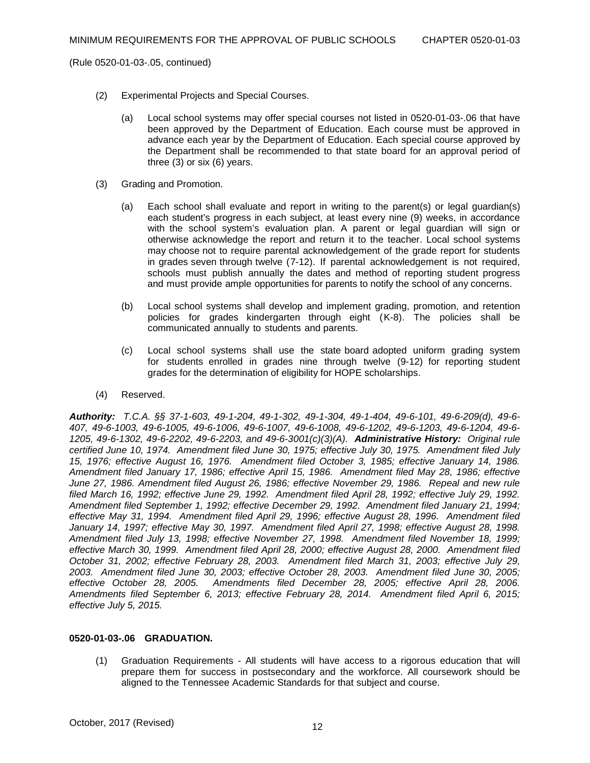- (2) Experimental Projects and Special Courses.
	- (a) Local school systems may offer special courses not listed in 0520-01-03-.06 that have been approved by the Department of Education. Each course must be approved in advance each year by the Department of Education. Each special course approved by the Department shall be recommended to that state board for an approval period of three (3) or six (6) years.
- (3) Grading and Promotion.
	- (a) Each school shall evaluate and report in writing to the parent(s) or legal guardian(s) each student's progress in each subject, at least every nine (9) weeks, in accordance with the school system's evaluation plan. A parent or legal guardian will sign or otherwise acknowledge the report and return it to the teacher. Local school systems may choose not to require parental acknowledgement of the grade report for students in grades seven through twelve (7-12). If parental acknowledgement is not required, schools must publish annually the dates and method of reporting student progress and must provide ample opportunities for parents to notify the school of any concerns.
	- (b) Local school systems shall develop and implement grading, promotion, and retention policies for grades kindergarten through eight (K-8). The policies shall be communicated annually to students and parents.
	- (c) Local school systems shall use the state board adopted uniform grading system for students enrolled in grades nine through twelve (9-12) for reporting student grades for the determination of eligibility for HOPE scholarships.
- (4) Reserved.

*Authority: T.C.A. §§ 37-1-603, 49-1-204, 49-1-302, 49-1-304, 49-1-404, 49-6-101, 49-6-209(d), 49-6- 407, 49-6-1003, 49-6-1005, 49-6-1006, 49-6-1007, 49-6-1008, 49-6-1202, 49-6-1203, 49-6-1204, 49-6- 1205, 49-6-1302, 49-6-2202, 49-6-2203, and 49-6-3001(c)(3)(A). Administrative History: Original rule certified June 10, 1974. Amendment filed June 30, 1975; effective July 30, 1975. Amendment filed July 15, 1976; effective August 16, 1976. Amendment filed October 3, 1985; effective January 14, 1986. Amendment filed January 17, 1986; effective April 15, 1986. Amendment filed May 28, 1986; effective June 27, 1986. Amendment filed August 26, 1986; effective November 29, 1986. Repeal and new rule filed March 16, 1992; effective June 29, 1992. Amendment filed April 28, 1992; effective July 29, 1992. Amendment filed September 1, 1992; effective December 29, 1992. Amendment filed January 21, 1994; effective May 31, 1994. Amendment filed April 29, 1996; effective August 28, 1996. Amendment filed January 14, 1997; effective May 30, 1997. Amendment filed April 27, 1998; effective August 28, 1998. Amendment filed July 13, 1998; effective November 27, 1998. Amendment filed November 18, 1999; effective March 30, 1999. Amendment filed April 28, 2000; effective August 28, 2000. Amendment filed October 31, 2002; effective February 28, 2003. Amendment filed March 31, 2003; effective July 29, 2003. Amendment filed June 30, 2003; effective October 28, 2003. Amendment filed June 30, 2005; effective October 28, 2005. Amendments filed December 28, 2005; effective April 28, 2006. Amendments filed September 6, 2013; effective February 28, 2014. Amendment filed April 6, 2015; effective July 5, 2015.*

#### **0520-01-03-.06 GRADUATION.**

(1) Graduation Requirements - All students will have access to a rigorous education that will prepare them for success in postsecondary and the workforce. All coursework should be aligned to the Tennessee Academic Standards for that subject and course.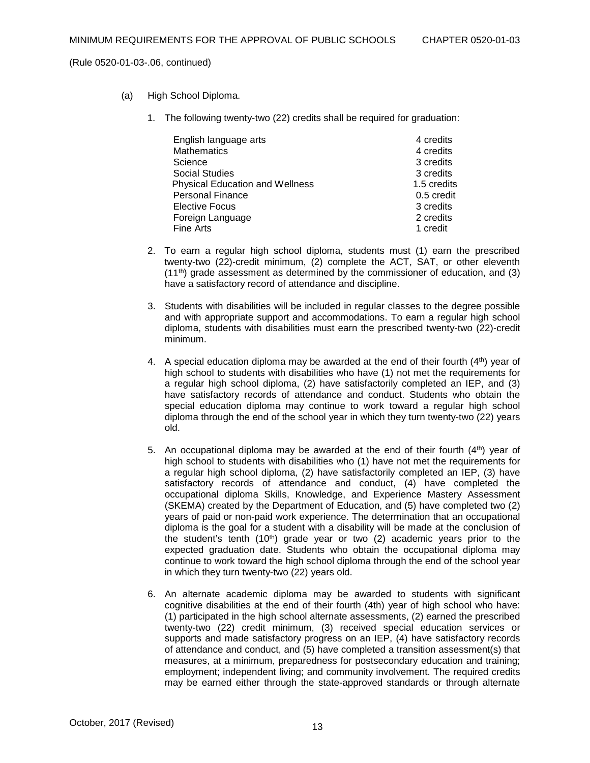- (a) High School Diploma.
	- 1. The following twenty-two (22) credits shall be required for graduation:

| English language arts                  | 4 credits   |
|----------------------------------------|-------------|
| <b>Mathematics</b>                     | 4 credits   |
| Science                                | 3 credits   |
| <b>Social Studies</b>                  | 3 credits   |
| <b>Physical Education and Wellness</b> | 1.5 credits |
| <b>Personal Finance</b>                | 0.5 credit  |
| <b>Elective Focus</b>                  | 3 credits   |
| Foreign Language                       | 2 credits   |
| Fine Arts                              | 1 credit    |

- 2. To earn a regular high school diploma, students must (1) earn the prescribed twenty-two (22)-credit minimum, (2) complete the ACT, SAT, or other eleventh  $(11<sup>th</sup>)$  grade assessment as determined by the commissioner of education, and  $(3)$ have a satisfactory record of attendance and discipline.
- 3. Students with disabilities will be included in regular classes to the degree possible and with appropriate support and accommodations. To earn a regular high school diploma, students with disabilities must earn the prescribed twenty-two (22)-credit minimum.
- 4. A special education diploma may be awarded at the end of their fourth  $(4<sup>th</sup>)$  year of high school to students with disabilities who have (1) not met the requirements for a regular high school diploma, (2) have satisfactorily completed an IEP, and (3) have satisfactory records of attendance and conduct. Students who obtain the special education diploma may continue to work toward a regular high school diploma through the end of the school year in which they turn twenty-two (22) years old.
- 5. An occupational diploma may be awarded at the end of their fourth  $(4<sup>th</sup>)$  year of high school to students with disabilities who (1) have not met the requirements for a regular high school diploma, (2) have satisfactorily completed an IEP, (3) have satisfactory records of attendance and conduct, (4) have completed the occupational diploma Skills, Knowledge, and Experience Mastery Assessment (SKEMA) created by the Department of Education, and (5) have completed two (2) years of paid or non-paid work experience. The determination that an occupational diploma is the goal for a student with a disability will be made at the conclusion of the student's tenth  $(10<sup>th</sup>)$  grade year or two  $(2)$  academic years prior to the expected graduation date. Students who obtain the occupational diploma may continue to work toward the high school diploma through the end of the school year in which they turn twenty-two (22) years old.
- 6. An alternate academic diploma may be awarded to students with significant cognitive disabilities at the end of their fourth (4th) year of high school who have: (1) participated in the high school alternate assessments, (2) earned the prescribed twenty-two (22) credit minimum, (3) received special education services or supports and made satisfactory progress on an IEP, (4) have satisfactory records of attendance and conduct, and (5) have completed a transition assessment(s) that measures, at a minimum, preparedness for postsecondary education and training; employment; independent living; and community involvement. The required credits may be earned either through the state-approved standards or through alternate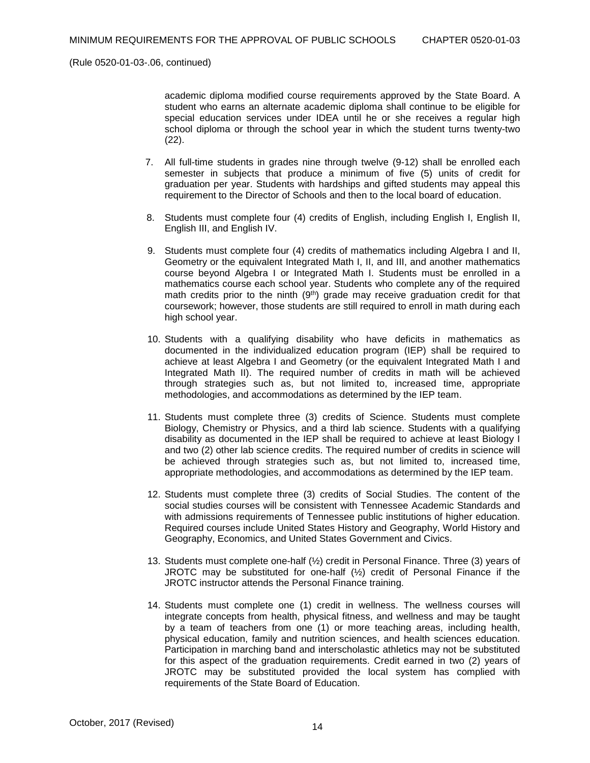academic diploma modified course requirements approved by the State Board. A student who earns an alternate academic diploma shall continue to be eligible for special education services under IDEA until he or she receives a regular high school diploma or through the school year in which the student turns twenty-two (22).

- 7. All full-time students in grades nine through twelve (9-12) shall be enrolled each semester in subjects that produce a minimum of five (5) units of credit for graduation per year. Students with hardships and gifted students may appeal this requirement to the Director of Schools and then to the local board of education.
- 8. Students must complete four (4) credits of English, including English I, English II, English III, and English IV.
- 9. Students must complete four (4) credits of mathematics including Algebra I and II, Geometry or the equivalent Integrated Math I, II, and III, and another mathematics course beyond Algebra I or Integrated Math I. Students must be enrolled in a mathematics course each school year. Students who complete any of the required math credits prior to the ninth (9<sup>th</sup>) grade may receive graduation credit for that coursework; however, those students are still required to enroll in math during each high school year.
- 10. Students with a qualifying disability who have deficits in mathematics as documented in the individualized education program (IEP) shall be required to achieve at least Algebra I and Geometry (or the equivalent Integrated Math I and Integrated Math II). The required number of credits in math will be achieved through strategies such as, but not limited to, increased time, appropriate methodologies, and accommodations as determined by the IEP team.
- 11. Students must complete three (3) credits of Science. Students must complete Biology, Chemistry or Physics, and a third lab science. Students with a qualifying disability as documented in the IEP shall be required to achieve at least Biology I and two (2) other lab science credits. The required number of credits in science will be achieved through strategies such as, but not limited to, increased time, appropriate methodologies, and accommodations as determined by the IEP team.
- 12. Students must complete three (3) credits of Social Studies. The content of the social studies courses will be consistent with Tennessee Academic Standards and with admissions requirements of Tennessee public institutions of higher education. Required courses include United States History and Geography, World History and Geography, Economics, and United States Government and Civics.
- 13. Students must complete one-half (½) credit in Personal Finance. Three (3) years of JROTC may be substituted for one-half (½) credit of Personal Finance if the JROTC instructor attends the Personal Finance training.
- 14. Students must complete one (1) credit in wellness. The wellness courses will integrate concepts from health, physical fitness, and wellness and may be taught by a team of teachers from one (1) or more teaching areas, including health, physical education, family and nutrition sciences, and health sciences education. Participation in marching band and interscholastic athletics may not be substituted for this aspect of the graduation requirements. Credit earned in two (2) years of JROTC may be substituted provided the local system has complied with requirements of the State Board of Education.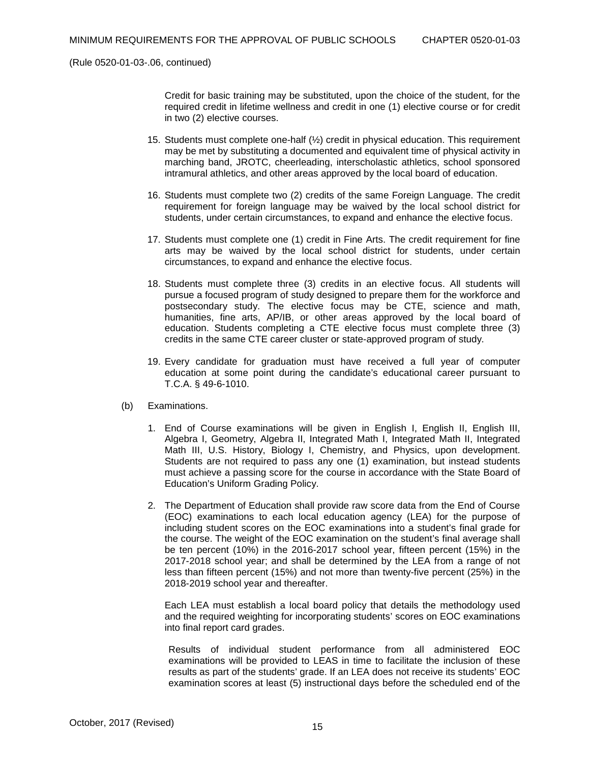Credit for basic training may be substituted, upon the choice of the student, for the required credit in lifetime wellness and credit in one (1) elective course or for credit in two (2) elective courses.

- 15. Students must complete one-half (½) credit in physical education. This requirement may be met by substituting a documented and equivalent time of physical activity in marching band, JROTC, cheerleading, interscholastic athletics, school sponsored intramural athletics, and other areas approved by the local board of education.
- 16. Students must complete two (2) credits of the same Foreign Language. The credit requirement for foreign language may be waived by the local school district for students, under certain circumstances, to expand and enhance the elective focus.
- 17. Students must complete one (1) credit in Fine Arts. The credit requirement for fine arts may be waived by the local school district for students, under certain circumstances, to expand and enhance the elective focus.
- 18. Students must complete three (3) credits in an elective focus. All students will pursue a focused program of study designed to prepare them for the workforce and postsecondary study. The elective focus may be CTE, science and math, humanities, fine arts, AP/IB, or other areas approved by the local board of education. Students completing a CTE elective focus must complete three (3) credits in the same CTE career cluster or state-approved program of study.
- 19. Every candidate for graduation must have received a full year of computer education at some point during the candidate's educational career pursuant to T.C.A. § 49-6-1010.
- (b) Examinations.
	- 1. End of Course examinations will be given in English I, English II, English III, Algebra I, Geometry, Algebra II, Integrated Math I, Integrated Math II, Integrated Math III, U.S. History, Biology I, Chemistry, and Physics, upon development. Students are not required to pass any one (1) examination, but instead students must achieve a passing score for the course in accordance with the State Board of Education's Uniform Grading Policy.
	- 2. The Department of Education shall provide raw score data from the End of Course (EOC) examinations to each local education agency (LEA) for the purpose of including student scores on the EOC examinations into a student's final grade for the course. The weight of the EOC examination on the student's final average shall be ten percent (10%) in the 2016-2017 school year, fifteen percent (15%) in the 2017-2018 school year; and shall be determined by the LEA from a range of not less than fifteen percent (15%) and not more than twenty-five percent (25%) in the 2018-2019 school year and thereafter.

Each LEA must establish a local board policy that details the methodology used and the required weighting for incorporating students' scores on EOC examinations into final report card grades.

Results of individual student performance from all administered EOC examinations will be provided to LEAS in time to facilitate the inclusion of these results as part of the students' grade. If an LEA does not receive its students' EOC examination scores at least (5) instructional days before the scheduled end of the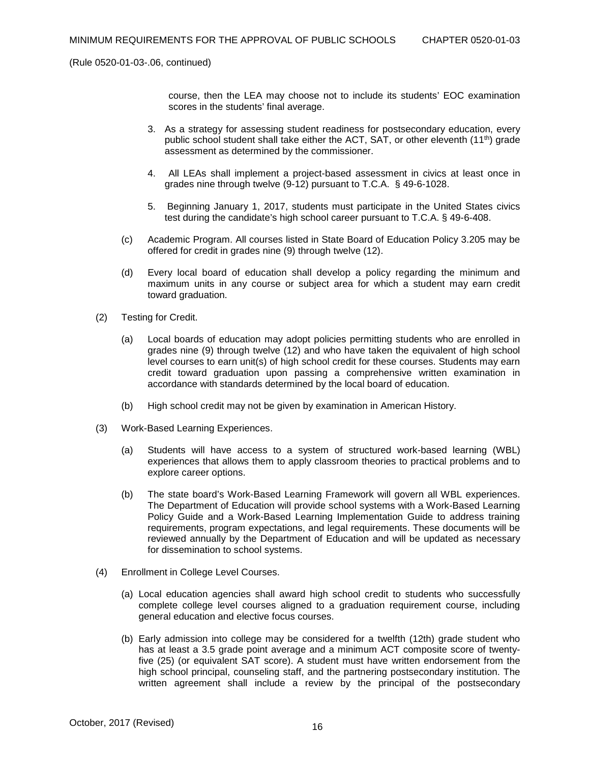course, then the LEA may choose not to include its students' EOC examination scores in the students' final average.

- 3. As a strategy for assessing student readiness for postsecondary education, every public school student shall take either the ACT, SAT, or other eleventh (11th) grade assessment as determined by the commissioner.
- 4. All LEAs shall implement a project-based assessment in civics at least once in grades nine through twelve (9-12) pursuant to T.C.A. § 49-6-1028.
- 5. Beginning January 1, 2017, students must participate in the United States civics test during the candidate's high school career pursuant to T.C.A. § 49-6-408.
- (c) Academic Program. All courses listed in State Board of Education Policy 3.205 may be offered for credit in grades nine (9) through twelve (12).
- (d) Every local board of education shall develop a policy regarding the minimum and maximum units in any course or subject area for which a student may earn credit toward graduation.
- (2) Testing for Credit.
	- (a) Local boards of education may adopt policies permitting students who are enrolled in grades nine (9) through twelve (12) and who have taken the equivalent of high school level courses to earn unit(s) of high school credit for these courses. Students may earn credit toward graduation upon passing a comprehensive written examination in accordance with standards determined by the local board of education.
	- (b) High school credit may not be given by examination in American History.
- (3) Work-Based Learning Experiences.
	- (a) Students will have access to a system of structured work-based learning (WBL) experiences that allows them to apply classroom theories to practical problems and to explore career options.
	- (b) The state board's Work-Based Learning Framework will govern all WBL experiences. The Department of Education will provide school systems with a Work-Based Learning Policy Guide and a Work-Based Learning Implementation Guide to address training requirements, program expectations, and legal requirements. These documents will be reviewed annually by the Department of Education and will be updated as necessary for dissemination to school systems.
- (4) Enrollment in College Level Courses.
	- (a) Local education agencies shall award high school credit to students who successfully complete college level courses aligned to a graduation requirement course, including general education and elective focus courses.
	- (b) Early admission into college may be considered for a twelfth (12th) grade student who has at least a 3.5 grade point average and a minimum ACT composite score of twentyfive (25) (or equivalent SAT score). A student must have written endorsement from the high school principal, counseling staff, and the partnering postsecondary institution. The written agreement shall include a review by the principal of the postsecondary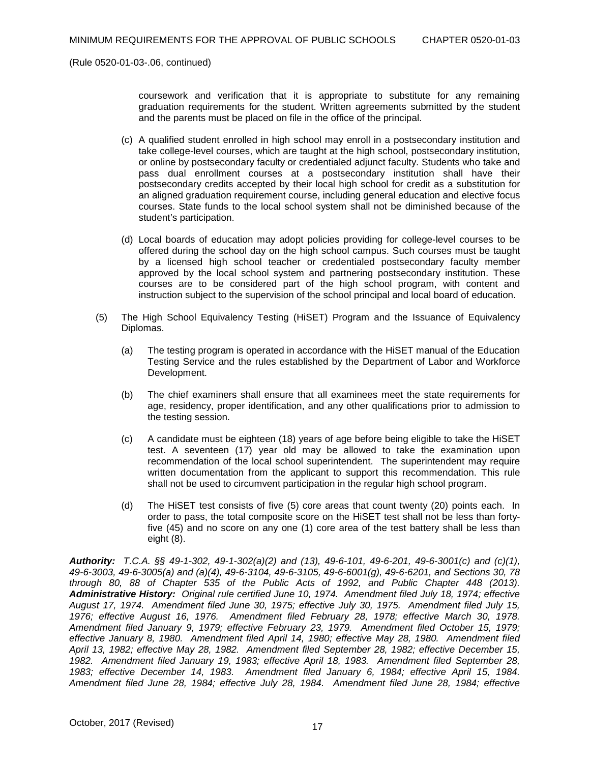coursework and verification that it is appropriate to substitute for any remaining graduation requirements for the student. Written agreements submitted by the student and the parents must be placed on file in the office of the principal.

- (c) A qualified student enrolled in high school may enroll in a postsecondary institution and take college-level courses, which are taught at the high school, postsecondary institution, or online by postsecondary faculty or credentialed adjunct faculty. Students who take and pass dual enrollment courses at a postsecondary institution shall have their postsecondary credits accepted by their local high school for credit as a substitution for an aligned graduation requirement course, including general education and elective focus courses. State funds to the local school system shall not be diminished because of the student's participation.
- (d) Local boards of education may adopt policies providing for college-level courses to be offered during the school day on the high school campus. Such courses must be taught by a licensed high school teacher or credentialed postsecondary faculty member approved by the local school system and partnering postsecondary institution. These courses are to be considered part of the high school program, with content and instruction subject to the supervision of the school principal and local board of education.
- (5) The High School Equivalency Testing (HiSET) Program and the Issuance of Equivalency Diplomas.
	- (a) The testing program is operated in accordance with the HiSET manual of the Education Testing Service and the rules established by the Department of Labor and Workforce Development.
	- (b) The chief examiners shall ensure that all examinees meet the state requirements for age, residency, proper identification, and any other qualifications prior to admission to the testing session.
	- (c) A candidate must be eighteen (18) years of age before being eligible to take the HiSET test. A seventeen (17) year old may be allowed to take the examination upon recommendation of the local school superintendent. The superintendent may require written documentation from the applicant to support this recommendation. This rule shall not be used to circumvent participation in the regular high school program.
	- (d) The HiSET test consists of five (5) core areas that count twenty (20) points each. In order to pass, the total composite score on the HiSET test shall not be less than fortyfive (45) and no score on any one (1) core area of the test battery shall be less than eight (8).

*Authority: T.C.A. §§ 49-1-302, 49-1-302(a)(2) and (13), 49-6-101, 49-6-201, 49-6-3001(c) and (c)(1), 49-6-3003, 49-6-3005(a) and (a)(4), 49-6-3104, 49-6-3105, 49-6-6001(g), 49-6-6201, and Sections 30, 78 through 80, 88 of Chapter 535 of the Public Acts of 1992, and Public Chapter 448 (2013). Administrative History: Original rule certified June 10, 1974. Amendment filed July 18, 1974; effective August 17, 1974. Amendment filed June 30, 1975; effective July 30, 1975. Amendment filed July 15, 1976; effective August 16, 1976. Amendment filed February 28, 1978; effective March 30, 1978. Amendment filed January 9, 1979; effective February 23, 1979. Amendment filed October 15, 1979; effective January 8, 1980. Amendment filed April 14, 1980; effective May 28, 1980. Amendment filed April 13, 1982; effective May 28, 1982. Amendment filed September 28, 1982; effective December 15, 1982. Amendment filed January 19, 1983; effective April 18, 1983. Amendment filed September 28, 1983; effective December 14, 1983. Amendment filed January 6, 1984; effective April 15, 1984. Amendment filed June 28, 1984; effective July 28, 1984. Amendment filed June 28, 1984; effective*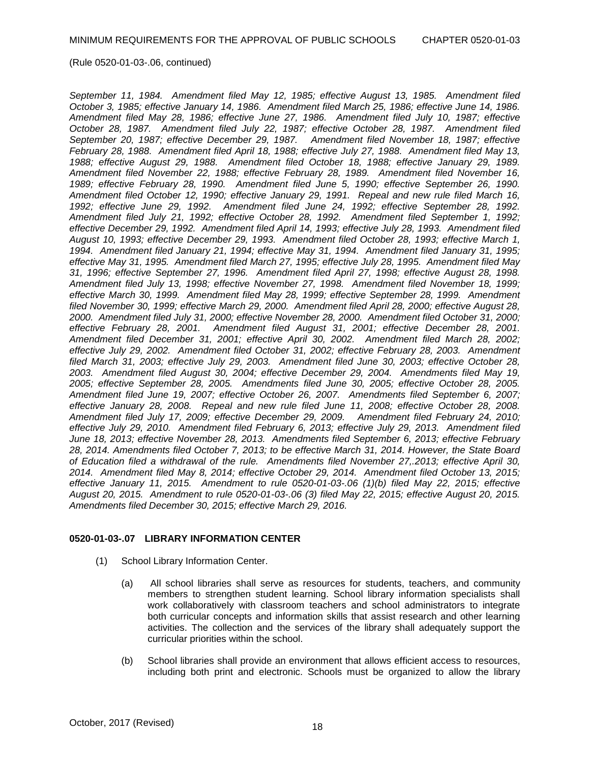*September 11, 1984. Amendment filed May 12, 1985; effective August 13, 1985. Amendment filed October 3, 1985; effective January 14, 1986. Amendment filed March 25, 1986; effective June 14, 1986. Amendment filed May 28, 1986; effective June 27, 1986. Amendment filed July 10, 1987; effective October 28, 1987. Amendment filed July 22, 1987; effective October 28, 1987. Amendment filed September 20, 1987; effective December 29, 1987. Amendment filed November 18, 1987; effective February 28, 1988. Amendment filed April 18, 1988; effective July 27, 1988. Amendment filed May 13, 1988; effective August 29, 1988. Amendment filed October 18, 1988; effective January 29, 1989. Amendment filed November 22, 1988; effective February 28, 1989. Amendment filed November 16, 1989; effective February 28, 1990. Amendment filed June 5, 1990; effective September 26, 1990. Amendment filed October 12, 1990; effective January 29, 1991. Repeal and new rule filed March 16, 1992; effective June 29, 1992. Amendment filed June 24, 1992; effective September 28, 1992. Amendment filed July 21, 1992; effective October 28, 1992. Amendment filed September 1, 1992; effective December 29, 1992. Amendment filed April 14, 1993; effective July 28, 1993. Amendment filed August 10, 1993; effective December 29, 1993. Amendment filed October 28, 1993; effective March 1, 1994. Amendment filed January 21, 1994; effective May 31, 1994. Amendment filed January 31, 1995; effective May 31, 1995. Amendment filed March 27, 1995; effective July 28, 1995. Amendment filed May 31, 1996; effective September 27, 1996. Amendment filed April 27, 1998; effective August 28, 1998. Amendment filed July 13, 1998; effective November 27, 1998. Amendment filed November 18, 1999; effective March 30, 1999. Amendment filed May 28, 1999; effective September 28, 1999. Amendment filed November 30, 1999; effective March 29, 2000. Amendment filed April 28, 2000; effective August 28, 2000. Amendment filed July 31, 2000; effective November 28, 2000. Amendment filed October 31, 2000; effective February 28, 2001. Amendment filed August 31, 2001; effective December 28, 2001. Amendment filed December 31, 2001; effective April 30, 2002. Amendment filed March 28, 2002; effective July 29, 2002. Amendment filed October 31, 2002; effective February 28, 2003. Amendment filed March 31, 2003; effective July 29, 2003. Amendment filed June 30, 2003; effective October 28, 2003. Amendment filed August 30, 2004; effective December 29, 2004. Amendments filed May 19, 2005; effective September 28, 2005. Amendments filed June 30, 2005; effective October 28, 2005. Amendment filed June 19, 2007; effective October 26, 2007. Amendments filed September 6, 2007; effective January 28, 2008. Repeal and new rule filed June 11, 2008; effective October 28, 2008. Amendment filed July 17, 2009; effective December 29, 2009. Amendment filed February 24, 2010; effective July 29, 2010. Amendment filed February 6, 2013; effective July 29, 2013. Amendment filed June 18, 2013; effective November 28, 2013. Amendments filed September 6, 2013; effective February 28, 2014. Amendments filed October 7, 2013; to be effective March 31, 2014. However, the State Board of Education filed a withdrawal of the rule. Amendments filed November 27,.2013; effective April 30, 2014. Amendment filed May 8, 2014; effective October 29, 2014. Amendment filed October 13, 2015; effective January 11, 2015. Amendment to rule 0520-01-03-.06 (1)(b) filed May 22, 2015; effective August 20, 2015. Amendment to rule 0520-01-03-.06 (3) filed May 22, 2015; effective August 20, 2015. Amendments filed December 30, 2015; effective March 29, 2016.*

## **0520-01-03-.07 LIBRARY INFORMATION CENTER**

- (1) School Library Information Center.
	- (a) All school libraries shall serve as resources for students, teachers, and community members to strengthen student learning. School library information specialists shall work collaboratively with classroom teachers and school administrators to integrate both curricular concepts and information skills that assist research and other learning activities. The collection and the services of the library shall adequately support the curricular priorities within the school.
	- (b) School libraries shall provide an environment that allows efficient access to resources, including both print and electronic. Schools must be organized to allow the library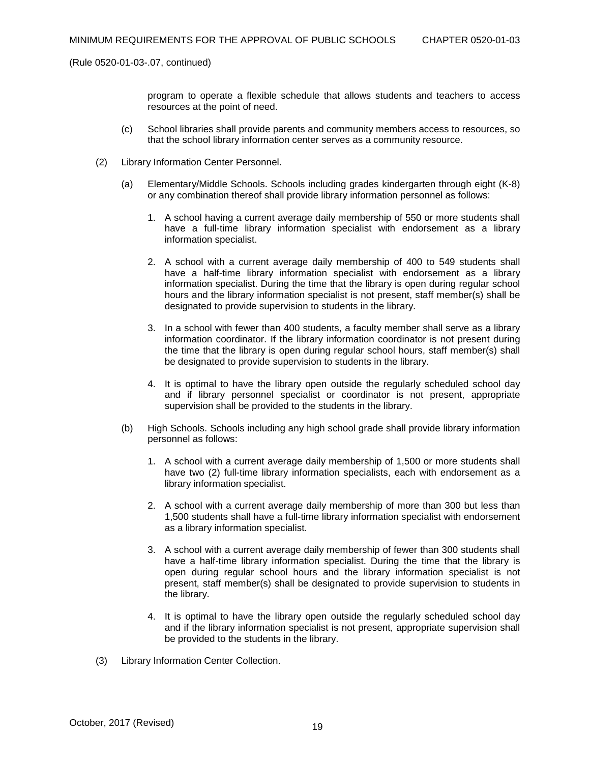program to operate a flexible schedule that allows students and teachers to access resources at the point of need.

- (c) School libraries shall provide parents and community members access to resources, so that the school library information center serves as a community resource.
- (2) Library Information Center Personnel.
	- (a) Elementary/Middle Schools. Schools including grades kindergarten through eight (K-8) or any combination thereof shall provide library information personnel as follows:
		- 1. A school having a current average daily membership of 550 or more students shall have a full-time library information specialist with endorsement as a library information specialist.
		- 2. A school with a current average daily membership of 400 to 549 students shall have a half-time library information specialist with endorsement as a library information specialist. During the time that the library is open during regular school hours and the library information specialist is not present, staff member(s) shall be designated to provide supervision to students in the library.
		- 3. In a school with fewer than 400 students, a faculty member shall serve as a library information coordinator. If the library information coordinator is not present during the time that the library is open during regular school hours, staff member(s) shall be designated to provide supervision to students in the library.
		- 4. It is optimal to have the library open outside the regularly scheduled school day and if library personnel specialist or coordinator is not present, appropriate supervision shall be provided to the students in the library.
	- (b) High Schools. Schools including any high school grade shall provide library information personnel as follows:
		- 1. A school with a current average daily membership of 1,500 or more students shall have two (2) full-time library information specialists, each with endorsement as a library information specialist.
		- 2. A school with a current average daily membership of more than 300 but less than 1,500 students shall have a full-time library information specialist with endorsement as a library information specialist.
		- 3. A school with a current average daily membership of fewer than 300 students shall have a half-time library information specialist. During the time that the library is open during regular school hours and the library information specialist is not present, staff member(s) shall be designated to provide supervision to students in the library.
		- 4. It is optimal to have the library open outside the regularly scheduled school day and if the library information specialist is not present, appropriate supervision shall be provided to the students in the library.
- (3) Library Information Center Collection.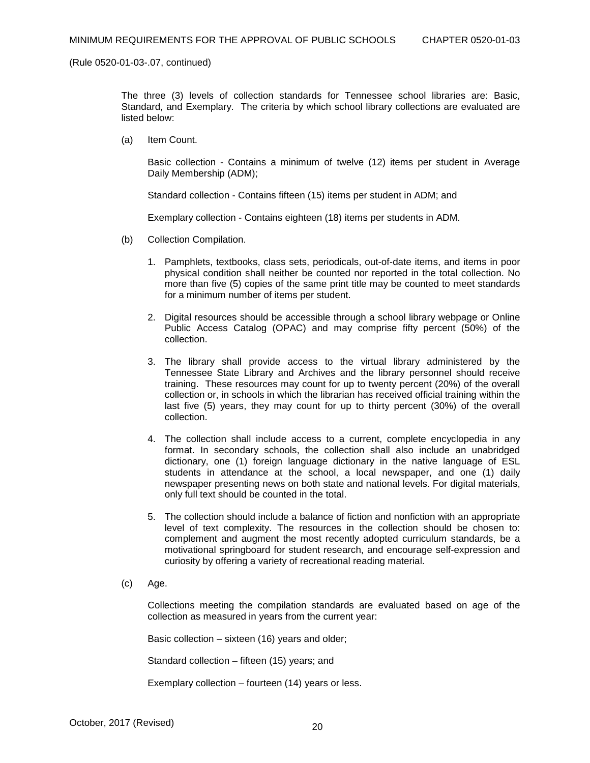The three (3) levels of collection standards for Tennessee school libraries are: Basic, Standard, and Exemplary. The criteria by which school library collections are evaluated are listed below:

(a) Item Count.

Basic collection - Contains a minimum of twelve (12) items per student in Average Daily Membership (ADM);

Standard collection - Contains fifteen (15) items per student in ADM; and

Exemplary collection - Contains eighteen (18) items per students in ADM.

- (b) Collection Compilation.
	- 1. Pamphlets, textbooks, class sets, periodicals, out-of-date items, and items in poor physical condition shall neither be counted nor reported in the total collection. No more than five (5) copies of the same print title may be counted to meet standards for a minimum number of items per student.
	- 2. Digital resources should be accessible through a school library webpage or Online Public Access Catalog (OPAC) and may comprise fifty percent (50%) of the collection.
	- 3. The library shall provide access to the virtual library administered by the Tennessee State Library and Archives and the library personnel should receive training. These resources may count for up to twenty percent (20%) of the overall collection or, in schools in which the librarian has received official training within the last five (5) years, they may count for up to thirty percent (30%) of the overall collection.
	- 4. The collection shall include access to a current, complete encyclopedia in any format. In secondary schools, the collection shall also include an unabridged dictionary, one (1) foreign language dictionary in the native language of ESL students in attendance at the school, a local newspaper, and one (1) daily newspaper presenting news on both state and national levels. For digital materials, only full text should be counted in the total.
	- 5. The collection should include a balance of fiction and nonfiction with an appropriate level of text complexity. The resources in the collection should be chosen to: complement and augment the most recently adopted curriculum standards, be a motivational springboard for student research, and encourage self-expression and curiosity by offering a variety of recreational reading material.
- (c) Age.

Collections meeting the compilation standards are evaluated based on age of the collection as measured in years from the current year:

Basic collection – sixteen (16) years and older;

Standard collection – fifteen (15) years; and

Exemplary collection – fourteen (14) years or less.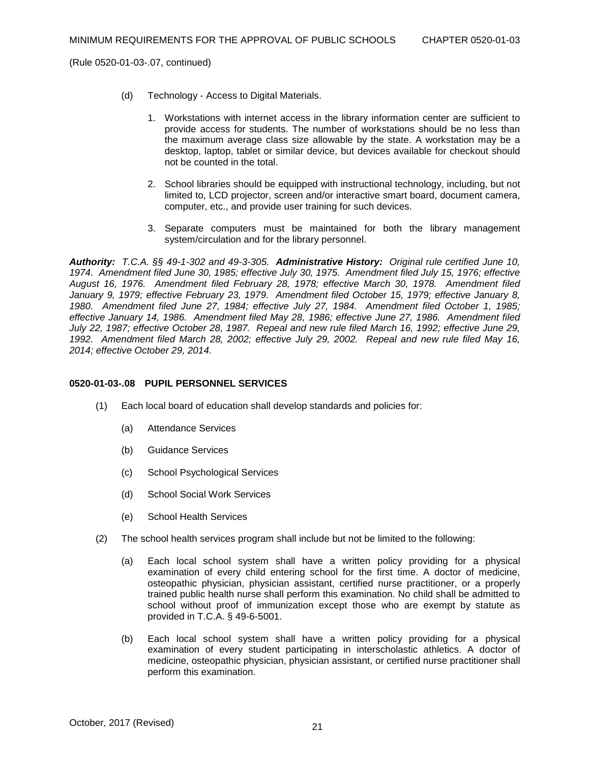- (d) Technology Access to Digital Materials.
	- 1. Workstations with internet access in the library information center are sufficient to provide access for students. The number of workstations should be no less than the maximum average class size allowable by the state. A workstation may be a desktop, laptop, tablet or similar device, but devices available for checkout should not be counted in the total.
	- 2. School libraries should be equipped with instructional technology, including, but not limited to, LCD projector, screen and/or interactive smart board, document camera, computer, etc., and provide user training for such devices.
	- 3. Separate computers must be maintained for both the library management system/circulation and for the library personnel.

*Authority: T.C.A. §§ 49-1-302 and 49-3-305. Administrative History: Original rule certified June 10, 1974. Amendment filed June 30, 1985; effective July 30, 1975. Amendment filed July 15, 1976; effective August 16, 1976. Amendment filed February 28, 1978; effective March 30, 1978. Amendment filed January 9, 1979; effective February 23, 1979. Amendment filed October 15, 1979; effective January 8, 1980. Amendment filed June 27, 1984; effective July 27, 1984. Amendment filed October 1, 1985; effective January 14, 1986. Amendment filed May 28, 1986; effective June 27, 1986. Amendment filed July 22, 1987; effective October 28, 1987. Repeal and new rule filed March 16, 1992; effective June 29, 1992. Amendment filed March 28, 2002; effective July 29, 2002. Repeal and new rule filed May 16, 2014; effective October 29, 2014.*

### **0520-01-03-.08 PUPIL PERSONNEL SERVICES**

- (1) Each local board of education shall develop standards and policies for:
	- (a) Attendance Services
	- (b) Guidance Services
	- (c) School Psychological Services
	- (d) School Social Work Services
	- (e) School Health Services
- (2) The school health services program shall include but not be limited to the following:
	- (a) Each local school system shall have a written policy providing for a physical examination of every child entering school for the first time. A doctor of medicine, osteopathic physician, physician assistant, certified nurse practitioner, or a properly trained public health nurse shall perform this examination. No child shall be admitted to school without proof of immunization except those who are exempt by statute as provided in T.C.A. § 49-6-5001.
	- (b) Each local school system shall have a written policy providing for a physical examination of every student participating in interscholastic athletics. A doctor of medicine, osteopathic physician, physician assistant, or certified nurse practitioner shall perform this examination.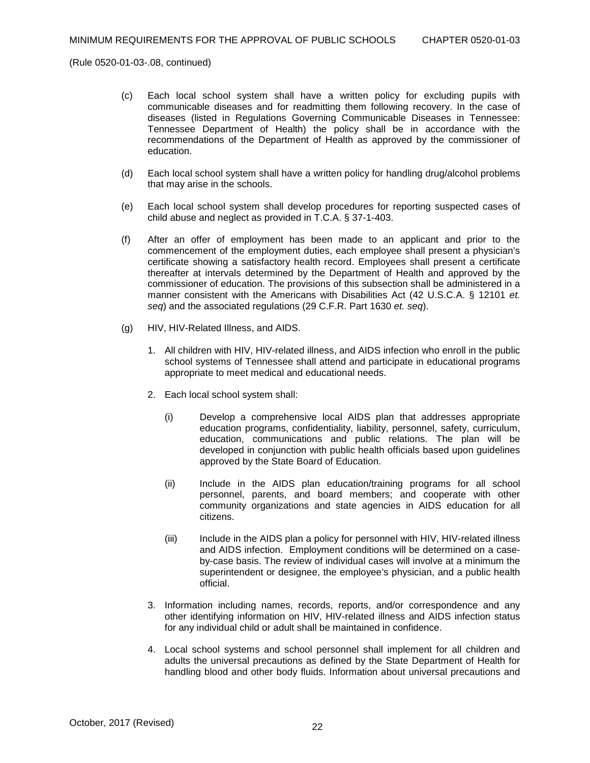- (c) Each local school system shall have a written policy for excluding pupils with communicable diseases and for readmitting them following recovery. In the case of diseases (listed in Regulations Governing Communicable Diseases in Tennessee: Tennessee Department of Health) the policy shall be in accordance with the recommendations of the Department of Health as approved by the commissioner of education.
- (d) Each local school system shall have a written policy for handling drug/alcohol problems that may arise in the schools.
- (e) Each local school system shall develop procedures for reporting suspected cases of child abuse and neglect as provided in T.C.A. § 37-1-403.
- (f) After an offer of employment has been made to an applicant and prior to the commencement of the employment duties, each employee shall present a physician's certificate showing a satisfactory health record. Employees shall present a certificate thereafter at intervals determined by the Department of Health and approved by the commissioner of education. The provisions of this subsection shall be administered in a manner consistent with the Americans with Disabilities Act (42 U.S.C.A. § 12101 *et. seq*) and the associated regulations (29 C.F.R. Part 1630 *et. seq*).
- (g) HIV, HIV-Related Illness, and AIDS.
	- 1. All children with HIV, HIV-related illness, and AIDS infection who enroll in the public school systems of Tennessee shall attend and participate in educational programs appropriate to meet medical and educational needs.
	- 2. Each local school system shall:
		- (i) Develop a comprehensive local AIDS plan that addresses appropriate education programs, confidentiality, liability, personnel, safety, curriculum, education, communications and public relations. The plan will be developed in conjunction with public health officials based upon guidelines approved by the State Board of Education.
		- (ii) Include in the AIDS plan education/training programs for all school personnel, parents, and board members; and cooperate with other community organizations and state agencies in AIDS education for all citizens.
		- (iii) Include in the AIDS plan a policy for personnel with HIV, HIV-related illness and AIDS infection. Employment conditions will be determined on a caseby-case basis. The review of individual cases will involve at a minimum the superintendent or designee, the employee's physician, and a public health official.
	- 3. Information including names, records, reports, and/or correspondence and any other identifying information on HIV, HIV-related illness and AIDS infection status for any individual child or adult shall be maintained in confidence.
	- 4. Local school systems and school personnel shall implement for all children and adults the universal precautions as defined by the State Department of Health for handling blood and other body fluids. Information about universal precautions and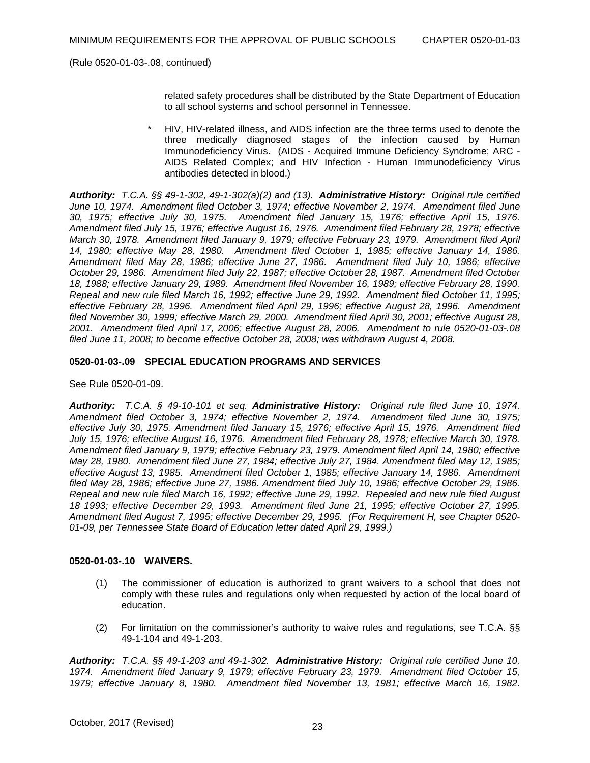related safety procedures shall be distributed by the State Department of Education to all school systems and school personnel in Tennessee.

HIV, HIV-related illness, and AIDS infection are the three terms used to denote the three medically diagnosed stages of the infection caused by Human Immunodeficiency Virus. (AIDS - Acquired Immune Deficiency Syndrome; ARC - AIDS Related Complex; and HIV Infection - Human Immunodeficiency Virus antibodies detected in blood.)

*Authority: T.C.A. §§ 49-1-302, 49-1-302(a)(2) and (13). Administrative History: Original rule certified June 10, 1974. Amendment filed October 3, 1974; effective November 2, 1974. Amendment filed June 30, 1975; effective July 30, 1975. Amendment filed January 15, 1976; effective April 15, 1976. Amendment filed July 15, 1976; effective August 16, 1976. Amendment filed February 28, 1978; effective March 30, 1978. Amendment filed January 9, 1979; effective February 23, 1979. Amendment filed April 14, 1980; effective May 28, 1980. Amendment filed October 1, 1985; effective January 14, 1986. Amendment filed May 28, 1986; effective June 27, 1986. Amendment filed July 10, 1986; effective October 29, 1986. Amendment filed July 22, 1987; effective October 28, 1987. Amendment filed October 18, 1988; effective January 29, 1989. Amendment filed November 16, 1989; effective February 28, 1990. Repeal and new rule filed March 16, 1992; effective June 29, 1992. Amendment filed October 11, 1995; effective February 28, 1996. Amendment filed April 29, 1996; effective August 28, 1996. Amendment filed November 30, 1999; effective March 29, 2000. Amendment filed April 30, 2001; effective August 28, 2001. Amendment filed April 17, 2006; effective August 28, 2006. Amendment to rule 0520-01-03-.08 filed June 11, 2008; to become effective October 28, 2008; was withdrawn August 4, 2008.*

## **0520-01-03-.09 SPECIAL EDUCATION PROGRAMS AND SERVICES**

See Rule 0520-01-09.

*Authority: T.C.A. § 49-10-101 et seq. Administrative History: Original rule filed June 10, 1974. Amendment filed October 3, 1974; effective November 2, 1974. Amendment filed June 30, 1975; effective July 30, 1975. Amendment filed January 15, 1976; effective April 15, 1976. Amendment filed July 15, 1976; effective August 16, 1976. Amendment filed February 28, 1978; effective March 30, 1978. Amendment filed January 9, 1979; effective February 23, 1979. Amendment filed April 14, 1980; effective May 28, 1980. Amendment filed June 27, 1984; effective July 27, 1984. Amendment filed May 12, 1985; effective August 13, 1985. Amendment filed October 1, 1985; effective January 14, 1986. Amendment filed May 28, 1986; effective June 27, 1986. Amendment filed July 10, 1986; effective October 29, 1986. Repeal and new rule filed March 16, 1992; effective June 29, 1992. Repealed and new rule filed August 18 1993; effective December 29, 1993. Amendment filed June 21, 1995; effective October 27, 1995. Amendment filed August 7, 1995; effective December 29, 1995. (For Requirement H, see Chapter 0520- 01-09, per Tennessee State Board of Education letter dated April 29, 1999.)*

## **0520-01-03-.10 WAIVERS.**

- (1) The commissioner of education is authorized to grant waivers to a school that does not comply with these rules and regulations only when requested by action of the local board of education.
- (2) For limitation on the commissioner's authority to waive rules and regulations, see T.C.A. §§ 49-1-104 and 49-1-203.

*Authority: T.C.A. §§ 49-1-203 and 49-1-302. Administrative History: Original rule certified June 10, 1974. Amendment filed January 9, 1979; effective February 23, 1979. Amendment filed October 15, 1979; effective January 8, 1980. Amendment filed November 13, 1981; effective March 16, 1982.*